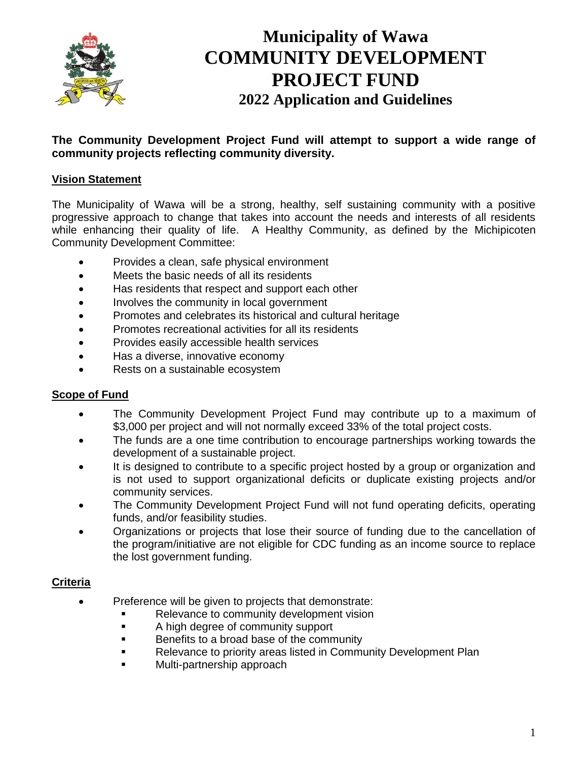

# **Municipality of Wawa COMMUNITY DEVELOPMENT PROJECT FUND 2022 Application and Guidelines**

#### **The Community Development Project Fund will attempt to support a wide range of community projects reflecting community diversity.**

#### **Vision Statement**

The Municipality of Wawa will be a strong, healthy, self sustaining community with a positive progressive approach to change that takes into account the needs and interests of all residents while enhancing their quality of life. A Healthy Community, as defined by the Michipicoten Community Development Committee:

- Provides a clean, safe physical environment
- Meets the basic needs of all its residents
- Has residents that respect and support each other
- Involves the community in local government
- Promotes and celebrates its historical and cultural heritage
- Promotes recreational activities for all its residents
- Provides easily accessible health services
- Has a diverse, innovative economy
- Rests on a sustainable ecosystem

#### **Scope of Fund**

- The Community Development Project Fund may contribute up to a maximum of \$3,000 per project and will not normally exceed 33% of the total project costs.
- The funds are a one time contribution to encourage partnerships working towards the development of a sustainable project.
- It is designed to contribute to a specific project hosted by a group or organization and is not used to support organizational deficits or duplicate existing projects and/or community services.
- The Community Development Project Fund will not fund operating deficits, operating funds, and/or feasibility studies.
- Organizations or projects that lose their source of funding due to the cancellation of the program/initiative are not eligible for CDC funding as an income source to replace the lost government funding.

#### **Criteria**

- Preference will be given to projects that demonstrate:
	- Relevance to community development vision
	- A high degree of community support
	- Benefits to a broad base of the community
	- Relevance to priority areas listed in Community Development Plan
	- Multi-partnership approach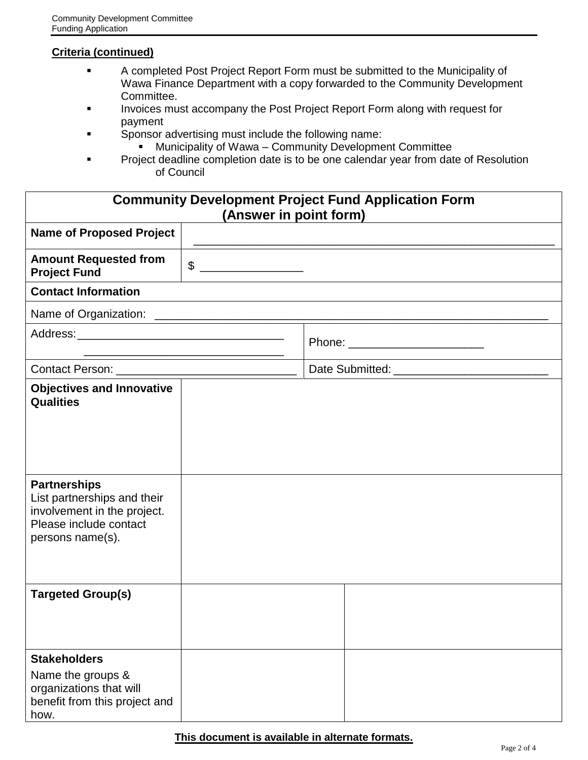#### **Criteria (continued)**

- A completed Post Project Report Form must be submitted to the Municipality of Wawa Finance Department with a copy forwarded to the Community Development Committee.
- Invoices must accompany the Post Project Report Form along with request for payment
- Sponsor advertising must include the following name:
	- Municipality of Wawa Community Development Committee
- Project deadline completion date is to be one calendar year from date of Resolution of Council

| <b>Community Development Project Fund Application Form</b><br>(Answer in point form)                                            |                         |                                       |  |  |
|---------------------------------------------------------------------------------------------------------------------------------|-------------------------|---------------------------------------|--|--|
| <b>Name of Proposed Project</b>                                                                                                 |                         |                                       |  |  |
| <b>Amount Requested from</b><br><b>Project Fund</b>                                                                             | $\qquad \qquad \bullet$ |                                       |  |  |
| <b>Contact Information</b>                                                                                                      |                         |                                       |  |  |
|                                                                                                                                 |                         |                                       |  |  |
|                                                                                                                                 |                         | Phone: _________________________      |  |  |
|                                                                                                                                 |                         | Date Submitted: _____________________ |  |  |
| <b>Objectives and Innovative</b><br><b>Qualities</b>                                                                            |                         |                                       |  |  |
| <b>Partnerships</b><br>List partnerships and their<br>involvement in the project.<br>Please include contact<br>persons name(s). |                         |                                       |  |  |
| <b>Targeted Group(s)</b>                                                                                                        |                         |                                       |  |  |
| <b>Stakeholders</b><br>Name the groups &<br>organizations that will<br>benefit from this project and<br>how.                    |                         |                                       |  |  |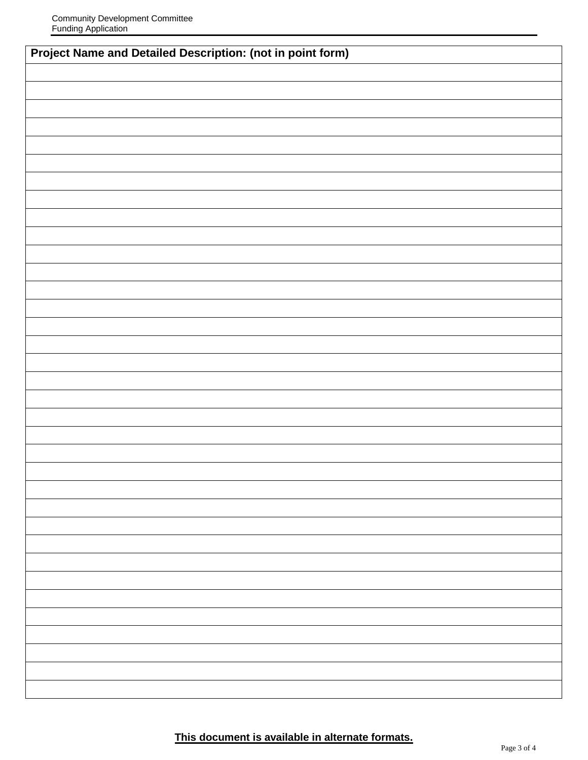| <b>Project Name and Detailed Description: (not in point form)</b> |  |  |  |  |
|-------------------------------------------------------------------|--|--|--|--|
|                                                                   |  |  |  |  |
|                                                                   |  |  |  |  |
|                                                                   |  |  |  |  |
|                                                                   |  |  |  |  |
|                                                                   |  |  |  |  |
|                                                                   |  |  |  |  |
|                                                                   |  |  |  |  |
|                                                                   |  |  |  |  |
|                                                                   |  |  |  |  |
|                                                                   |  |  |  |  |
|                                                                   |  |  |  |  |
|                                                                   |  |  |  |  |
|                                                                   |  |  |  |  |
|                                                                   |  |  |  |  |
|                                                                   |  |  |  |  |
|                                                                   |  |  |  |  |
|                                                                   |  |  |  |  |
|                                                                   |  |  |  |  |
|                                                                   |  |  |  |  |
|                                                                   |  |  |  |  |
|                                                                   |  |  |  |  |
|                                                                   |  |  |  |  |
|                                                                   |  |  |  |  |
|                                                                   |  |  |  |  |
|                                                                   |  |  |  |  |
|                                                                   |  |  |  |  |
|                                                                   |  |  |  |  |
|                                                                   |  |  |  |  |
|                                                                   |  |  |  |  |
|                                                                   |  |  |  |  |
|                                                                   |  |  |  |  |
|                                                                   |  |  |  |  |
|                                                                   |  |  |  |  |
|                                                                   |  |  |  |  |
|                                                                   |  |  |  |  |